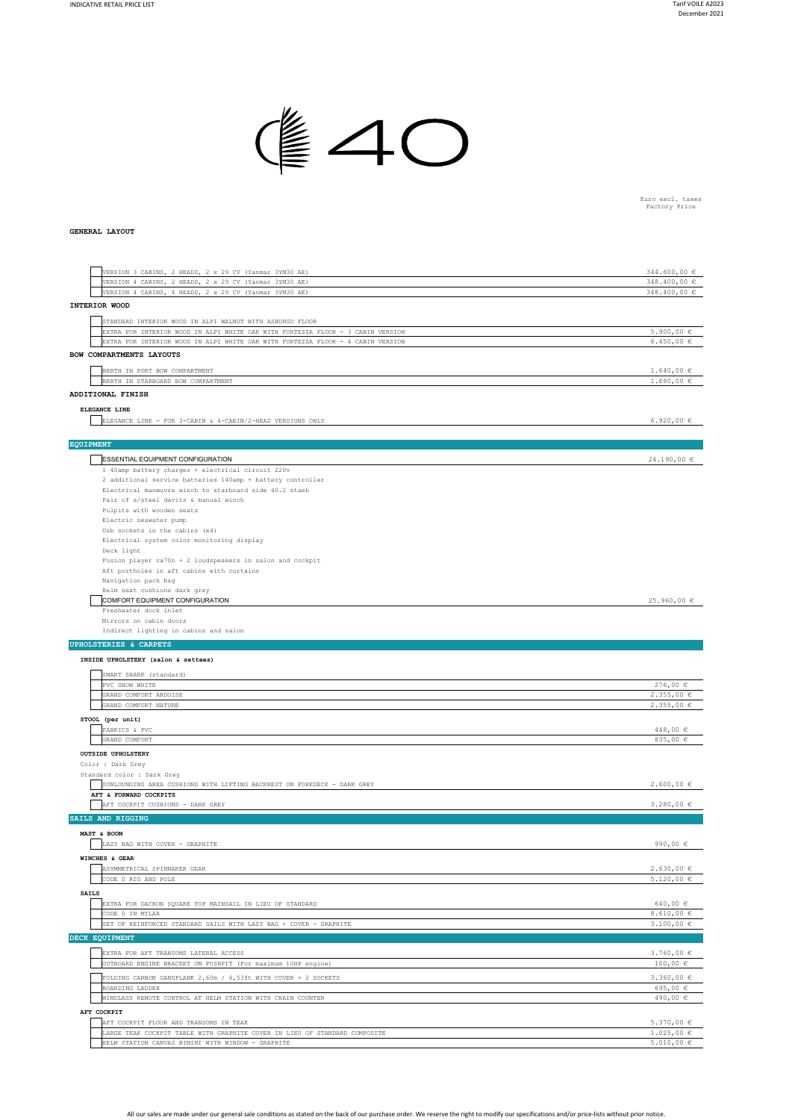

Euro excl. taxes Factory Price

## **GENERAL LAYOUT**

| VERSION 3 CABINS, 2 HEADS, 2 x 29 CV (Yanmar 3YM30 AE)                                                                          | 344.600,00 $\in$                 |
|---------------------------------------------------------------------------------------------------------------------------------|----------------------------------|
| VERSION 4 CABINS, 2 HEADS, 2 x 29 CV (Yanmar 3YM30 AE)                                                                          | 348.400,00 €                     |
| VERSION 4 CABINS, 4 HEADS, 2 x 29 CV (Yanmar 3YM30 AE)                                                                          | 348.400,00 €                     |
| INTERIOR WOOD                                                                                                                   |                                  |
| STANDARD INTERIOR WOOD IN ALPI WALNUT WITH ASBURGO FLOOR                                                                        |                                  |
| EXTRA FOR INTERIOR WOOD IN ALPI WHITE OAK WITH FORTEZZA FLOOR - 3 CABIN VERSION                                                 | $5.900,00 \in$                   |
| EXTRA FOR INTERIOR WOOD IN ALPI WHITE OAK WITH FORTEZZA FLOOR - 4 CABIN VERSION                                                 | 6.450,00 $\in$                   |
| BOW COMPARTMENTS LAYOUTS                                                                                                        |                                  |
|                                                                                                                                 |                                  |
| BERTH IN PORT BOW COMPARTMENT                                                                                                   | $1.640,00 \in$                   |
| BERTH IN STARBOARD BOW COMPARTMENT                                                                                              | $1.680,00 \in$                   |
| ADDITIONAL FINISH                                                                                                               |                                  |
| ELEGANCE LINE                                                                                                                   |                                  |
| ELEGANCE LINE - FOR 3-CABIN & 4-CABIN/2-HEAD VERSIONS ONLY                                                                      | 6.920,00 €                       |
|                                                                                                                                 |                                  |
| <b>EQUIPMENT</b>                                                                                                                |                                  |
|                                                                                                                                 |                                  |
| ESSENTIAL EQUIPMENT CONFIGURATION                                                                                               | $24.190,00 \in$                  |
| 1 40amp battery charger + electrical circuit 220v                                                                               |                                  |
| 2 additional service batteries 140amp + battery controller                                                                      |                                  |
| Electrical manœuvre winch to starboard side 40.2 staeh                                                                          |                                  |
| Pair of s/steel davits & manual winch<br>Pulpits with wooden seats                                                              |                                  |
| Electric seawater pump                                                                                                          |                                  |
| Usb sockets in the cabins (x4)                                                                                                  |                                  |
| Electrical system color monitoring display                                                                                      |                                  |
| Deck light                                                                                                                      |                                  |
| Fusion player ra70n + 2 loudspeakers in salon and cockpit                                                                       |                                  |
| Aft portholes in aft cabins with curtains                                                                                       |                                  |
| Navigation pack b&g                                                                                                             |                                  |
| Helm seat cushions dark grey                                                                                                    |                                  |
| COMFORT EQUIPMENT CONFIGURATION                                                                                                 | 25.960,00 €                      |
| Freshwater dock inlet                                                                                                           |                                  |
| Mirrors on cabin doors                                                                                                          |                                  |
| Indirect lighting in cabins and salon                                                                                           |                                  |
| <b>UPHOLSTERIES &amp; CARPETS</b>                                                                                               |                                  |
| INSIDE UPHOLSTERY (salon & settees)                                                                                             |                                  |
|                                                                                                                                 |                                  |
| SMART SHARK (standard)                                                                                                          |                                  |
| PVC SNOW WHITE<br>GRAND COMFORT ARDOISE                                                                                         | 276,00€<br>2.355,00€             |
| GRAND COMFORT NATURE                                                                                                            | 2.355,00€                        |
|                                                                                                                                 |                                  |
| STOOL (per unit)                                                                                                                |                                  |
| FABRICS & PVC                                                                                                                   | 448,00 €                         |
| GRAND COMFORT                                                                                                                   | 835,00 €                         |
| OUTSIDE UPHOLSTERY                                                                                                              |                                  |
| Color : Dark Grey                                                                                                               |                                  |
| Standard color : Dark Grey                                                                                                      |                                  |
| SUNLOUNGING AREA CUSHIONS WITH LIFTING BACKREST ON FOREDECK - DARK GREY                                                         | $2.600,00 \in$                   |
| AFT & FORWARD COCKPITS                                                                                                          |                                  |
| AFT COCKPIT CUSHIONS - DARK GREY                                                                                                | 3.280,00 $\in$                   |
| SAILS AND RIGGING                                                                                                               |                                  |
| MAST & BOOM                                                                                                                     |                                  |
| LAZY BAG WITH COVER - GRAPHITE                                                                                                  | 990,00 $\in$                     |
| WINCHES & GEAR                                                                                                                  |                                  |
| ASYMMETRICAL SPINNAKER GEAR                                                                                                     | 2.630,00€                        |
| CODE 0 RIG AND POLE                                                                                                             | $5.120,00 \in$                   |
|                                                                                                                                 |                                  |
| <b>SAILS</b>                                                                                                                    |                                  |
| EXTRA FOR DACRON SQUARE TOP MAINSAIL IN LIEU OF STANDARD                                                                        | 640,00€                          |
| CODE 0 IN MYLAR                                                                                                                 | 8.610,00 €                       |
| SET OF REINFORCED STANDARD SAILS WITH LAZY BAG + COVER - GRAPHITE                                                               | $3.100,00 \in$                   |
| DECK EQUIPMENT                                                                                                                  |                                  |
| EXTRA FOR AFT TRANSOMS LATERAL ACCESS                                                                                           |                                  |
|                                                                                                                                 |                                  |
| OUTBOARD ENGINE BRACKET ON PUSHPIT (For maximum 10HP engine)                                                                    | $3.760,00 \in$<br>100,00 €       |
|                                                                                                                                 |                                  |
| FOLDING CARBON GANGPLANK 2,60m / 8,53ft WITH COVER + 2 SOCKETS                                                                  | $3.360,00 \in$                   |
| BOARDING LADDER                                                                                                                 | 695,00 €                         |
| WINDLASS REMOTE CONTROL AT HELM STATION WITH CHAIN COUNTER                                                                      | 490,00 €                         |
| AFT COCKPIT                                                                                                                     |                                  |
| AFT COCKPIT FLOOR AND TRANSOMS IN TEAK                                                                                          | $5.370,00 \in$                   |
| LARGE TEAK COCKPIT TABLE WITH GRAPHITE COVER IN LIEU OF STANDARD COMPOSITE<br>HELM STATION CANVAS BIMINI WITH WINDOW - GRAPHITE | $1.025,00 \in$<br>$5.010,00 \in$ |

All our sales are made under our general sale conditions as stated on the back of our purchase order. We reserve the right to modify our specifications and/or price-lists without prior notice.